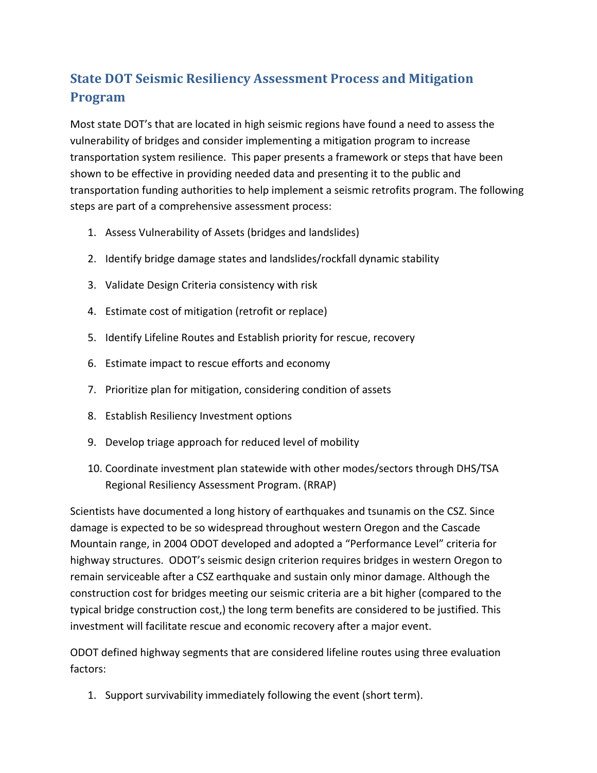## **State DOT Seismic Resiliency Assessment Process and Mitigation Program**

Most state DOT's that are located in high seismic regions have found a need to assess the vulnerability of bridges and consider implementing a mitigation program to increase transportation system resilience. This paper presents a framework or steps that have been shown to be effective in providing needed data and presenting it to the public and transportation funding authorities to help implement a seismic retrofits program. The following steps are part of a comprehensive assessment process:

- 1. Assess Vulnerability of Assets (bridges and landslides)
- 2. Identify bridge damage states and landslides/rockfall dynamic stability
- 3. Validate Design Criteria consistency with risk
- 4. Estimate cost of mitigation (retrofit or replace)
- 5. Identify Lifeline Routes and Establish priority for rescue, recovery
- 6. Estimate impact to rescue efforts and economy
- 7. Prioritize plan for mitigation, considering condition of assets
- 8. Establish Resiliency Investment options
- 9. Develop triage approach for reduced level of mobility
- 10. Coordinate investment plan statewide with other modes/sectors through DHS/TSA Regional Resiliency Assessment Program. (RRAP)

Scientists have documented a long history of earthquakes and tsunamis on the CSZ. Since damage is expected to be so widespread throughout western Oregon and the Cascade Mountain range, in 2004 ODOT developed and adopted a "Performance Level" criteria for highway structures. ODOT's seismic design criterion requires bridges in western Oregon to remain serviceable after a CSZ earthquake and sustain only minor damage. Although the construction cost for bridges meeting our seismic criteria are a bit higher (compared to the typical bridge construction cost,) the long term benefits are considered to be justified. This investment will facilitate rescue and economic recovery after a major event.

ODOT defined highway segments that are considered lifeline routes using three evaluation factors:

1. Support survivability immediately following the event (short term).